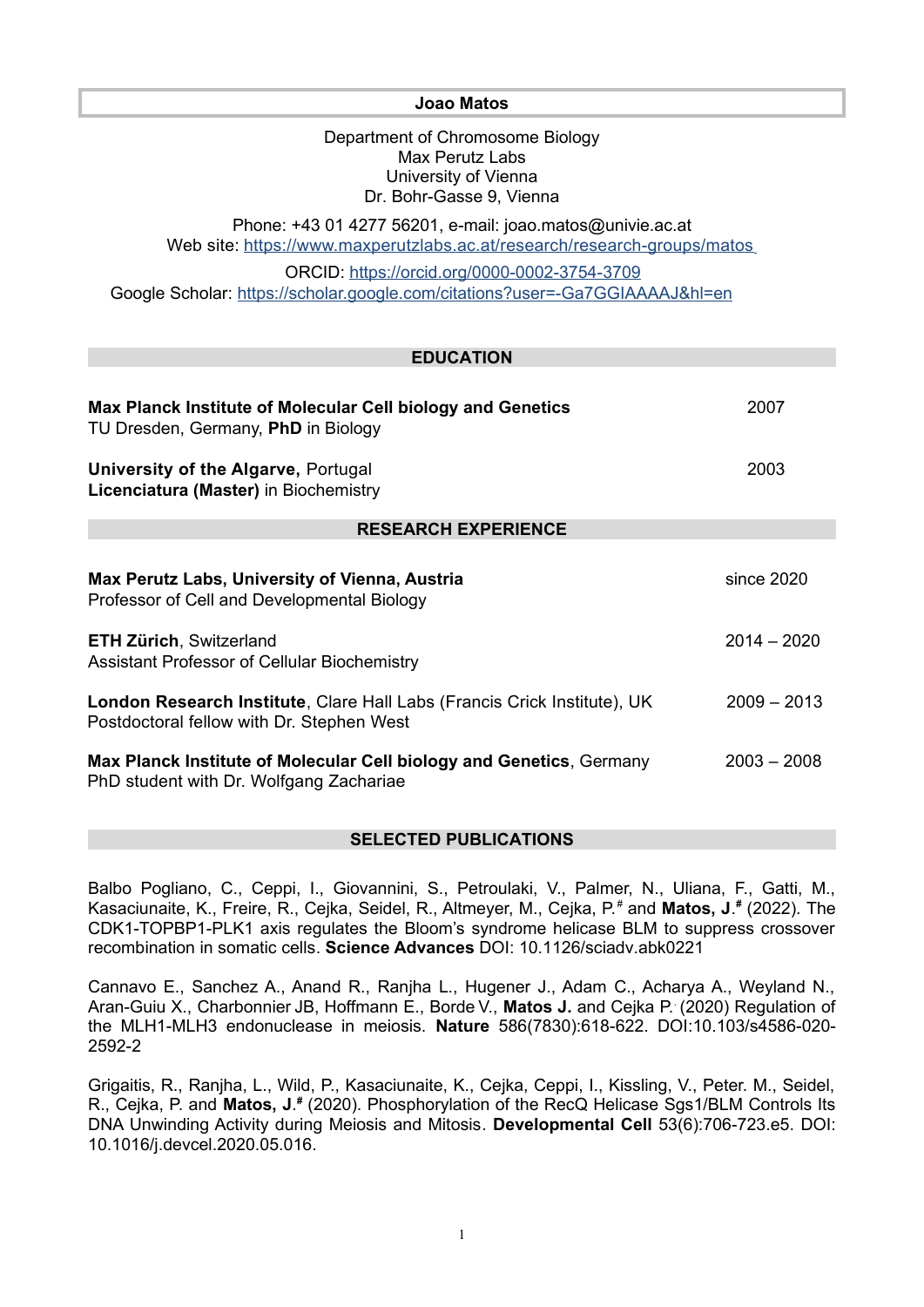**Joao Matos**

Department of Chromosome Biology Max Perutz Labs University of Vienna Dr. Bohr-Gasse 9, Vienna

Phone: +43 01 4277 56201, e-mail: joao.matos@univie.ac.at Web site: <https://www.maxperutzlabs.ac.at/research/research-groups/matos>

ORCID:<https://orcid.org/0000-0002-3754-3709> Google Scholar: <https://scholar.google.com/citations?user=-Ga7GGIAAAAJ&hl=en>

| <b>EDUCATION</b>                                                                                                      |               |
|-----------------------------------------------------------------------------------------------------------------------|---------------|
| Max Planck Institute of Molecular Cell biology and Genetics<br>TU Dresden, Germany, PhD in Biology                    | 2007          |
| <b>University of the Algarve, Portugal</b><br>Licenciatura (Master) in Biochemistry                                   | 2003          |
| <b>RESEARCH EXPERIENCE</b>                                                                                            |               |
| Max Perutz Labs, University of Vienna, Austria<br>Professor of Cell and Developmental Biology                         | since 2020    |
| <b>ETH Zürich, Switzerland</b><br>Assistant Professor of Cellular Biochemistry                                        | $2014 - 2020$ |
| London Research Institute, Clare Hall Labs (Francis Crick Institute), UK<br>Postdoctoral fellow with Dr. Stephen West | $2009 - 2013$ |
| Max Planck Institute of Molecular Cell biology and Genetics, Germany<br>PhD student with Dr. Wolfgang Zachariae       | $2003 - 2008$ |

## **SELECTED PUBLICATIONS**

Balbo Pogliano, C., Ceppi, I., Giovannini, S., Petroulaki, V., Palmer, N., Uliana, F., Gatti, M., Kasaciunaite, K., Freire, R., Cejka, Seidel, R., Altmeyer, M., Cejka, P.*#* and **Matos, J**. *#* (2022). The CDK1-TOPBP1-PLK1 axis regulates the Bloom's syndrome helicase BLM to suppress crossover recombination in somatic cells. **Science Advances** DOI: 10.1126/sciadv.abk0221

Cannavo E., Sanchez A., Anand R., Ranjha L., Hugener J., Adam C., Acharya A., Weyland N., Aran-Guiu X., Charbonnier JB, Hoffmann E., Borde V., **Matos J.** and Cejka P.. (2020) Regulation of the MLH1-MLH3 endonuclease in meiosis. **Nature** 586(7830):618-622. DOI:10.103/s4586-020- 2592-2

Grigaitis, R., Ranjha, L., Wild, P., Kasaciunaite, K., Cejka, Ceppi, I., Kissling, V., Peter. M., Seidel, R., Cejka, P. and Matos, J.<sup>#</sup> (2020). Phosphorylation of the RecQ Helicase Sgs1/BLM Controls Its DNA Unwinding Activity during Meiosis and Mitosis. **Developmental Cell** 53(6):706-723.e5. DOI: 10.1016/j.devcel.2020.05.016.